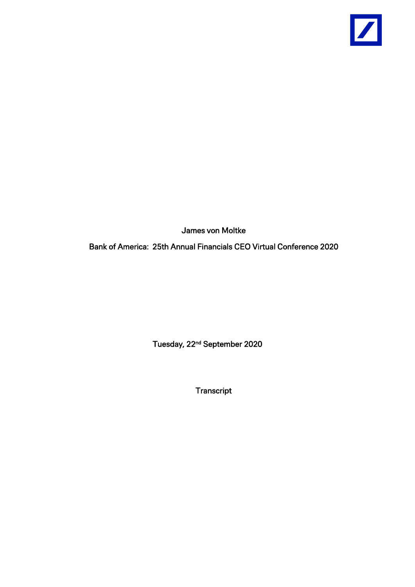

James von Moltke

Bank of America: 25th Annual Financials CEO Virtual Conference 2020

Tuesday, 22nd September 2020

Transcript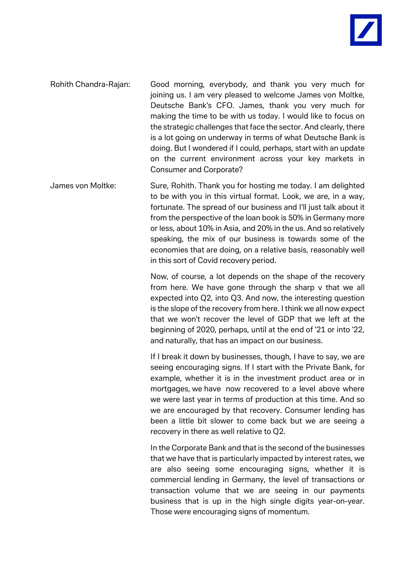

- Rohith Chandra-Rajan: Good morning, everybody, and thank you very much for joining us. I am very pleased to welcome James von Moltke, Deutsche Bank's CFO. James, thank you very much for making the time to be with us today. I would like to focus on the strategic challenges that face the sector. And clearly, there is a lot going on underway in terms of what Deutsche Bank is doing. But I wondered if I could, perhaps, start with an update on the current environment across your key markets in Consumer and Corporate?
- James von Moltke: Sure, Rohith. Thank you for hosting me today. I am delighted to be with you in this virtual format. Look, we are, in a way, fortunate. The spread of our business and I'll just talk about it from the perspective of the loan book is 50% in Germany more or less, about 10% in Asia, and 20% in the us. And so relatively speaking, the mix of our business is towards some of the economies that are doing, on a relative basis, reasonably well in this sort of Covid recovery period.

Now, of course, a lot depends on the shape of the recovery from here. We have gone through the sharp v that we all expected into Q2, into Q3. And now, the interesting question is the slope of the recovery from here. I think we all now expect that we won't recover the level of GDP that we left at the beginning of 2020, perhaps, until at the end of '21 or into '22, and naturally, that has an impact on our business.

If I break it down by businesses, though, I have to say, we are seeing encouraging signs. If I start with the Private Bank, for example, whether it is in the investment product area or in mortgages, we have now recovered to a level above where we were last year in terms of production at this time. And so we are encouraged by that recovery. Consumer lending has been a little bit slower to come back but we are seeing a recovery in there as well relative to Q2.

In the Corporate Bank and that is the second of the businesses that we have that is particularly impacted by interest rates, we are also seeing some encouraging signs, whether it is commercial lending in Germany, the level of transactions or transaction volume that we are seeing in our payments business that is up in the high single digits year-on-year. Those were encouraging signs of momentum.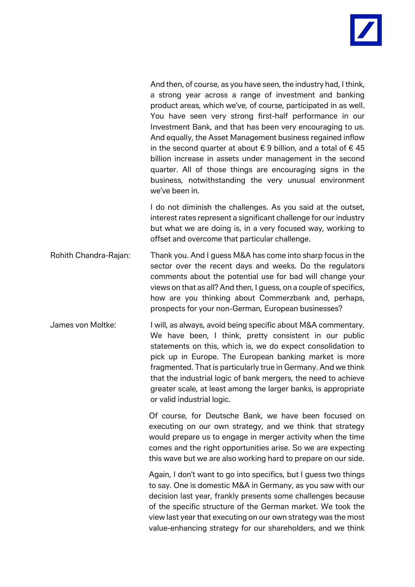

And then, of course, as you have seen, the industry had, I think, a strong year across a range of investment and banking product areas, which we've, of course, participated in as well. You have seen very strong first-half performance in our Investment Bank, and that has been very encouraging to us. And equally, the Asset Management business regained inflow in the second quarter at about  $\epsilon$  9 billion, and a total of  $\epsilon$  45 billion increase in assets under management in the second quarter. All of those things are encouraging signs in the business, notwithstanding the very unusual environment we've been in.

I do not diminish the challenges. As you said at the outset, interest rates represent a significant challenge for our industry but what we are doing is, in a very focused way, working to offset and overcome that particular challenge.

- Rohith Chandra-Rajan: Thank you. And I guess M&A has come into sharp focus in the sector over the recent days and weeks. Do the regulators comments about the potential use for bad will change your views on that as all? And then, I guess, on a couple of specifics, how are you thinking about Commerzbank and, perhaps, prospects for your non-German, European businesses?
- James von Moltke: I will, as always, avoid being specific about M&A commentary. We have been, I think, pretty consistent in our public statements on this, which is, we do expect consolidation to pick up in Europe. The European banking market is more fragmented. That is particularly true in Germany. And we think that the industrial logic of bank mergers, the need to achieve greater scale, at least among the larger banks, is appropriate or valid industrial logic.

Of course, for Deutsche Bank, we have been focused on executing on our own strategy, and we think that strategy would prepare us to engage in merger activity when the time comes and the right opportunities arise. So we are expecting this wave but we are also working hard to prepare on our side.

Again, I don't want to go into specifics, but I guess two things to say. One is domestic M&A in Germany, as you saw with our decision last year, frankly presents some challenges because of the specific structure of the German market. We took the view last year that executing on our own strategy was the most value-enhancing strategy for our shareholders, and we think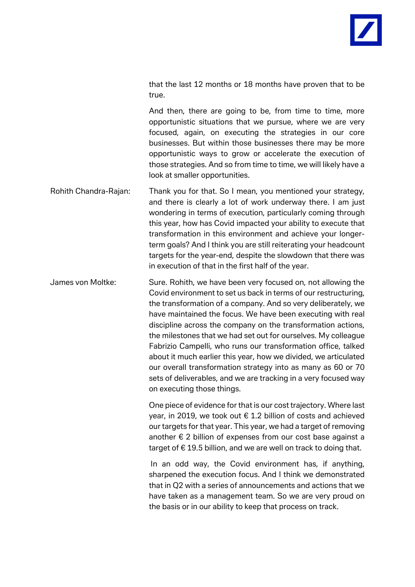that the last 12 months or 18 months have proven that to be true.

And then, there are going to be, from time to time, more opportunistic situations that we pursue, where we are very focused, again, on executing the strategies in our core businesses. But within those businesses there may be more opportunistic ways to grow or accelerate the execution of those strategies. And so from time to time, we will likely have a look at smaller opportunities.

- Rohith Chandra-Rajan: Thank you for that. So I mean, you mentioned your strategy, and there is clearly a lot of work underway there. I am just wondering in terms of execution, particularly coming through this year, how has Covid impacted your ability to execute that transformation in this environment and achieve your longerterm goals? And I think you are still reiterating your headcount targets for the year-end, despite the slowdown that there was in execution of that in the first half of the year.
- James von Moltke: Sure. Rohith, we have been very focused on, not allowing the Covid environment to set us back in terms of our restructuring, the transformation of a company. And so very deliberately, we have maintained the focus. We have been executing with real discipline across the company on the transformation actions, the milestones that we had set out for ourselves. My colleague Fabrizio Campelli, who runs our transformation office, talked about it much earlier this year, how we divided, we articulated our overall transformation strategy into as many as 60 or 70 sets of deliverables, and we are tracking in a very focused way on executing those things.

One piece of evidence for that is our cost trajectory. Where last year, in 2019, we took out  $\epsilon$  1.2 billion of costs and achieved our targets for that year. This year, we had a target of removing another  $\epsilon$  2 billion of expenses from our cost base against a target of € 19.5 billion, and we are well on track to doing that.

In an odd way, the Covid environment has, if anything, sharpened the execution focus. And I think we demonstrated that in Q2 with a series of announcements and actions that we have taken as a management team. So we are very proud on the basis or in our ability to keep that process on track.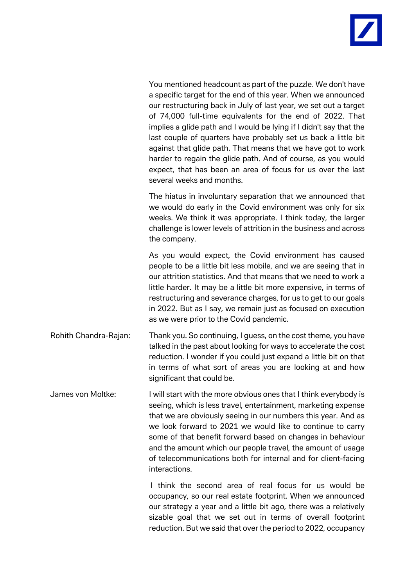

You mentioned headcount as part of the puzzle. We don't have a specific target for the end of this year. When we announced our restructuring back in July of last year, we set out a target of 74,000 full-time equivalents for the end of 2022. That implies a glide path and I would be lying if I didn't say that the last couple of quarters have probably set us back a little bit against that glide path. That means that we have got to work harder to regain the glide path. And of course, as you would expect, that has been an area of focus for us over the last several weeks and months.

The hiatus in involuntary separation that we announced that we would do early in the Covid environment was only for six weeks. We think it was appropriate. I think today, the larger challenge is lower levels of attrition in the business and across the company.

As you would expect, the Covid environment has caused people to be a little bit less mobile, and we are seeing that in our attrition statistics. And that means that we need to work a little harder. It may be a little bit more expensive, in terms of restructuring and severance charges, for us to get to our goals in 2022. But as I say, we remain just as focused on execution as we were prior to the Covid pandemic.

Rohith Chandra-Rajan: Thank you. So continuing, I guess, on the cost theme, you have talked in the past about looking for ways to accelerate the cost reduction. I wonder if you could just expand a little bit on that in terms of what sort of areas you are looking at and how significant that could be.

James von Moltke: I will start with the more obvious ones that I think everybody is seeing, which is less travel, entertainment, marketing expense that we are obviously seeing in our numbers this year. And as we look forward to 2021 we would like to continue to carry some of that benefit forward based on changes in behaviour and the amount which our people travel, the amount of usage of telecommunications both for internal and for client-facing interactions.

> I think the second area of real focus for us would be occupancy, so our real estate footprint. When we announced our strategy a year and a little bit ago, there was a relatively sizable goal that we set out in terms of overall footprint reduction. But we said that over the period to 2022, occupancy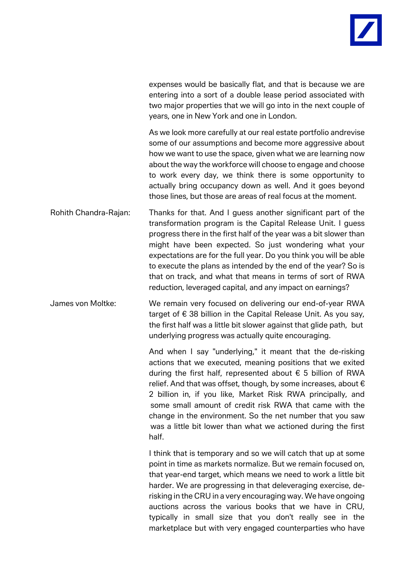

expenses would be basically flat, and that is because we are entering into a sort of a double lease period associated with two major properties that we will go into in the next couple of years, one in New York and one in London.

As we look more carefully at our real estate portfolio andrevise some of our assumptions and become more aggressive about how we want to use the space, given what we are learning now about the way the workforce will choose to engage and choose to work every day, we think there is some opportunity to actually bring occupancy down as well. And it goes beyond those lines, but those are areas of real focus at the moment.

Rohith Chandra-Rajan: Thanks for that. And I guess another significant part of the transformation program is the Capital Release Unit. I guess progress there in the first half of the year was a bit slower than might have been expected. So just wondering what your expectations are for the full year. Do you think you will be able to execute the plans as intended by the end of the year? So is that on track, and what that means in terms of sort of RWA reduction, leveraged capital, and any impact on earnings?

James von Moltke: We remain very focused on delivering our end-of-year RWA target of € 38 billion in the Capital Release Unit. As you say, the first half was a little bit slower against that glide path, but underlying progress was actually quite encouraging.

> And when I say "underlying," it meant that the de-risking actions that we executed, meaning positions that we exited during the first half, represented about  $\epsilon$  5 billion of RWA relief. And that was offset, though, by some increases, about  $\epsilon$ 2 billion in, if you like, Market Risk RWA principally, and some small amount of credit risk RWA that came with the change in the environment. So the net number that you saw was a little bit lower than what we actioned during the first half.

> I think that is temporary and so we will catch that up at some point in time as markets normalize. But we remain focused on, that year-end target, which means we need to work a little bit harder. We are progressing in that deleveraging exercise, derisking in the CRU in a very encouraging way. We have ongoing auctions across the various books that we have in CRU, typically in small size that you don't really see in the marketplace but with very engaged counterparties who have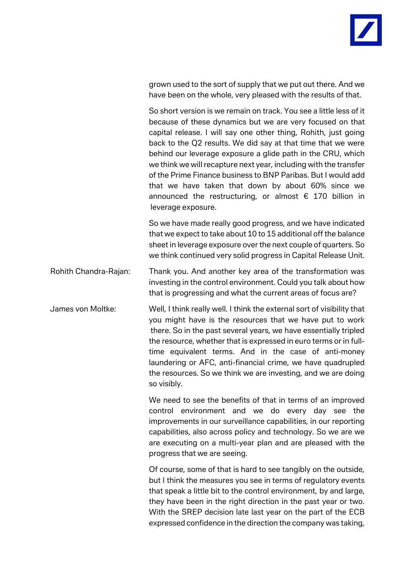grown used to the sort of supply that we put out there. And we have been on the whole, very pleased with the results of that.

So short version is we remain on track. You see a little less of it because of these dynamics but we are very focused on that capital release. I will say one other thing, Rohith, just going back to the Q2 results. We did say at that time that we were behind our leverage exposure a glide path in the CRU, which we think we will recapture next year, including with the transfer of the Prime Finance business to BNP Paribas. But I would add that we have taken that down by about 60% since we announced the restructuring, or almost  $\epsilon$  170 billion in leverage exposure.

So we have made really good progress, and we have indicated that we expect to take about 10 to 15 additional off the balance sheet in leverage exposure over the next couple of quarters. So we think continued very solid progress in Capital Release Unit.

Rohith Chandra-Rajan: Thank you. And another key area of the transformation was investing in the control environment. Could you talk about how that is progressing and what the current areas of focus are?

James von Moltke: Well, I think really well. I think the external sort of visibility that you might have is the resources that we have put to work there. So in the past several years, we have essentially tripled the resource, whether that is expressed in euro terms or in fulltime equivalent terms. And in the case of anti-money laundering or AFC, anti-financial crime, we have quadrupled the resources. So we think we are investing, and we are doing so visibly.

> We need to see the benefits of that in terms of an improved control environment and we do every day see the improvements in our surveillance capabilities, in our reporting capabilities, also across policy and technology. So we are we are executing on a multi-year plan and are pleased with the progress that we are seeing.

> Of course, some of that is hard to see tangibly on the outside, but I think the measures you see in terms of regulatory events that speak a little bit to the control environment, by and large, they have been in the right direction in the past year or two. With the SREP decision late last year on the part of the ECB expressed confidence in the direction the company was taking,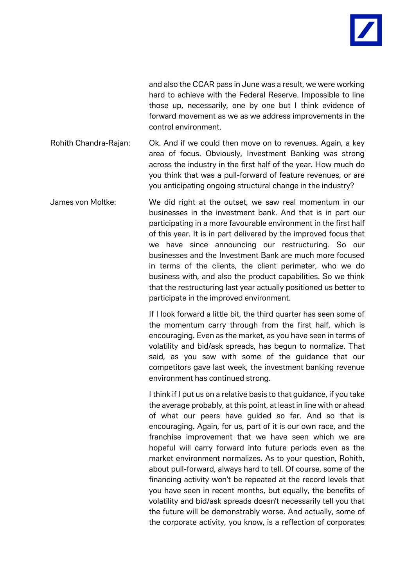and also the CCAR pass in June was a result, we were working hard to achieve with the Federal Reserve. Impossible to line those up, necessarily, one by one but I think evidence of forward movement as we as we address improvements in the control environment.

Rohith Chandra-Rajan: Ok. And if we could then move on to revenues. Again, a key area of focus. Obviously, Investment Banking was strong across the industry in the first half of the year. How much do you think that was a pull-forward of feature revenues, or are you anticipating ongoing structural change in the industry?

James von Moltke: We did right at the outset, we saw real momentum in our businesses in the investment bank. And that is in part our participating in a more favourable environment in the first half of this year. It is in part delivered by the improved focus that we have since announcing our restructuring. So our businesses and the Investment Bank are much more focused in terms of the clients, the client perimeter, who we do business with, and also the product capabilities. So we think that the restructuring last year actually positioned us better to participate in the improved environment.

> If I look forward a little bit, the third quarter has seen some of the momentum carry through from the first half, which is encouraging. Even as the market, as you have seen in terms of volatility and bid/ask spreads, has begun to normalize. That said, as you saw with some of the guidance that our competitors gave last week, the investment banking revenue environment has continued strong.

> I think if I put us on a relative basis to that guidance, if you take the average probably, at this point, at least in line with or ahead of what our peers have guided so far. And so that is encouraging. Again, for us, part of it is our own race, and the franchise improvement that we have seen which we are hopeful will carry forward into future periods even as the market environment normalizes. As to your question, Rohith, about pull-forward, always hard to tell. Of course, some of the financing activity won't be repeated at the record levels that you have seen in recent months, but equally, the benefits of volatility and bid/ask spreads doesn't necessarily tell you that the future will be demonstrably worse. And actually, some of the corporate activity, you know, is a reflection of corporates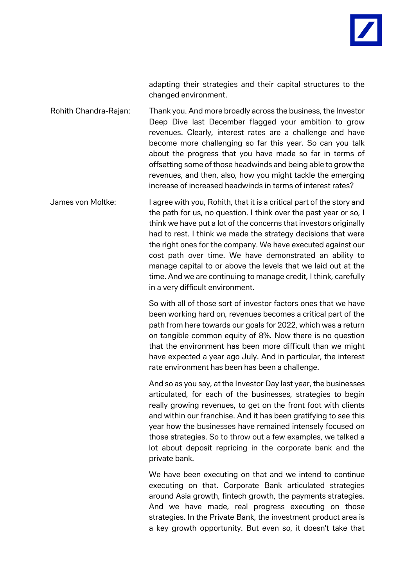

adapting their strategies and their capital structures to the changed environment.

Rohith Chandra-Rajan: Thank you. And more broadly across the business, the Investor Deep Dive last December flagged your ambition to grow revenues. Clearly, interest rates are a challenge and have become more challenging so far this year. So can you talk about the progress that you have made so far in terms of offsetting some of those headwinds and being able to grow the revenues, and then, also, how you might tackle the emerging increase of increased headwinds in terms of interest rates?

James von Moltke: I agree with you, Rohith, that it is a critical part of the story and the path for us, no question. I think over the past year or so, I think we have put a lot of the concerns that investors originally had to rest. I think we made the strategy decisions that were the right ones for the company. We have executed against our cost path over time. We have demonstrated an ability to manage capital to or above the levels that we laid out at the time. And we are continuing to manage credit, I think, carefully in a very difficult environment.

> So with all of those sort of investor factors ones that we have been working hard on, revenues becomes a critical part of the path from here towards our goals for 2022, which was a return on tangible common equity of 8%. Now there is no question that the environment has been more difficult than we might have expected a year ago July. And in particular, the interest rate environment has been has been a challenge.

> And so as you say, at the Investor Day last year, the businesses articulated, for each of the businesses, strategies to begin really growing revenues, to get on the front foot with clients and within our franchise. And it has been gratifying to see this year how the businesses have remained intensely focused on those strategies. So to throw out a few examples, we talked a lot about deposit repricing in the corporate bank and the private bank.

> We have been executing on that and we intend to continue executing on that. Corporate Bank articulated strategies around Asia growth, fintech growth, the payments strategies. And we have made, real progress executing on those strategies. In the Private Bank, the investment product area is a key growth opportunity. But even so, it doesn't take that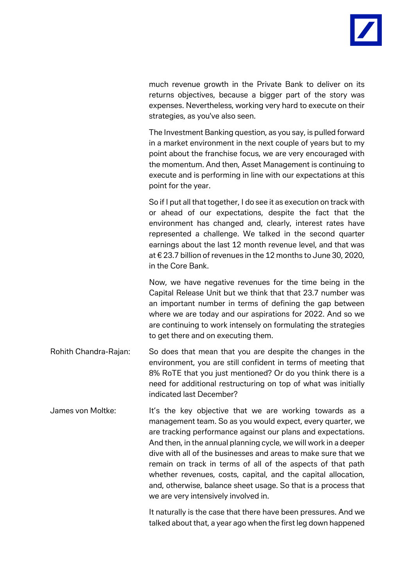much revenue growth in the Private Bank to deliver on its returns objectives, because a bigger part of the story was expenses. Nevertheless, working very hard to execute on their strategies, as you've also seen.

The Investment Banking question, as you say, is pulled forward in a market environment in the next couple of years but to my point about the franchise focus, we are very encouraged with the momentum. And then, Asset Management is continuing to execute and is performing in line with our expectations at this point for the year.

So if I put all that together, I do see it as execution on track with or ahead of our expectations, despite the fact that the environment has changed and, clearly, interest rates have represented a challenge. We talked in the second quarter earnings about the last 12 month revenue level, and that was at € 23.7 billion of revenues in the 12 months to June 30, 2020, in the Core Bank.

Now, we have negative revenues for the time being in the Capital Release Unit but we think that that 23.7 number was an important number in terms of defining the gap between where we are today and our aspirations for 2022. And so we are continuing to work intensely on formulating the strategies to get there and on executing them.

- Rohith Chandra-Rajan: So does that mean that you are despite the changes in the environment, you are still confident in terms of meeting that 8% RoTE that you just mentioned? Or do you think there is a need for additional restructuring on top of what was initially indicated last December?
- James von Moltke: It's the key objective that we are working towards as a management team. So as you would expect, every quarter, we are tracking performance against our plans and expectations. And then, in the annual planning cycle, we will work in a deeper dive with all of the businesses and areas to make sure that we remain on track in terms of all of the aspects of that path whether revenues, costs, capital, and the capital allocation, and, otherwise, balance sheet usage. So that is a process that we are very intensively involved in.

It naturally is the case that there have been pressures. And we talked about that, a year ago when the first leg down happened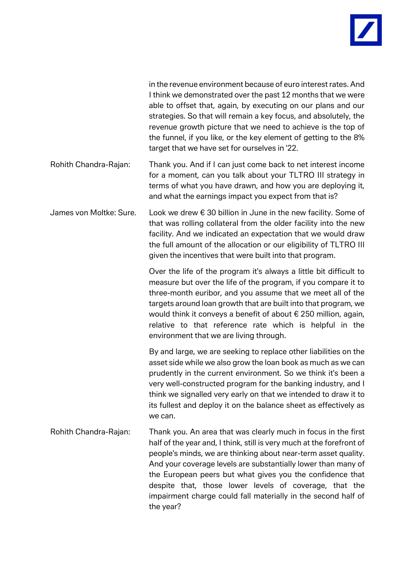

in the revenue environment because of euro interest rates. And I think we demonstrated over the past 12 months that we were able to offset that, again, by executing on our plans and our strategies. So that will remain a key focus, and absolutely, the revenue growth picture that we need to achieve is the top of the funnel, if you like, or the key element of getting to the 8% target that we have set for ourselves in '22.

- Rohith Chandra-Rajan: Thank you. And if I can just come back to net interest income for a moment, can you talk about your TLTRO III strategy in terms of what you have drawn, and how you are deploying it, and what the earnings impact you expect from that is?
- James von Moltke: Sure. Look we drew € 30 billion in June in the new facility. Some of that was rolling collateral from the older facility into the new facility. And we indicated an expectation that we would draw the full amount of the allocation or our eligibility of TLTRO III given the incentives that were built into that program.

Over the life of the program it's always a little bit difficult to measure but over the life of the program, if you compare it to three-month euribor, and you assume that we meet all of the targets around loan growth that are built into that program, we would think it conveys a benefit of about € 250 million, again, relative to that reference rate which is helpful in the environment that we are living through.

By and large, we are seeking to replace other liabilities on the asset side while we also grow the loan book as much as we can prudently in the current environment. So we think it's been a very well-constructed program for the banking industry, and I think we signalled very early on that we intended to draw it to its fullest and deploy it on the balance sheet as effectively as we can.

Rohith Chandra-Rajan: Thank you. An area that was clearly much in focus in the first half of the year and, I think, still is very much at the forefront of people's minds, we are thinking about near-term asset quality. And your coverage levels are substantially lower than many of the European peers but what gives you the confidence that despite that, those lower levels of coverage, that the impairment charge could fall materially in the second half of the year?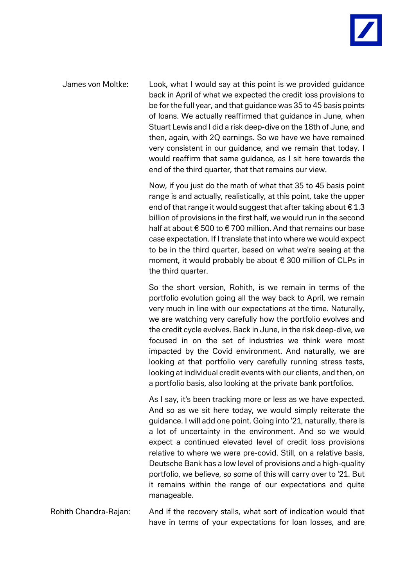James von Moltke: Look, what I would say at this point is we provided guidance back in April of what we expected the credit loss provisions to be for the full year, and that guidance was 35 to 45 basis points of loans. We actually reaffirmed that guidance in June, when Stuart Lewis and I did a risk deep-dive on the 18th of June, and then, again, with 2Q earnings. So we have we have remained very consistent in our guidance, and we remain that today. I would reaffirm that same guidance, as I sit here towards the end of the third quarter, that that remains our view.

> Now, if you just do the math of what that 35 to 45 basis point range is and actually, realistically, at this point, take the upper end of that range it would suggest that after taking about  $\epsilon$  1.3 billion of provisions in the first half, we would run in the second half at about € 500 to € 700 million. And that remains our base case expectation. If I translate that into where we would expect to be in the third quarter, based on what we're seeing at the moment, it would probably be about € 300 million of CLPs in the third quarter.

> So the short version, Rohith, is we remain in terms of the portfolio evolution going all the way back to April, we remain very much in line with our expectations at the time. Naturally, we are watching very carefully how the portfolio evolves and the credit cycle evolves. Back in June, in the risk deep-dive, we focused in on the set of industries we think were most impacted by the Covid environment. And naturally, we are looking at that portfolio very carefully running stress tests, looking at individual credit events with our clients, and then, on a portfolio basis, also looking at the private bank portfolios.

> As I say, it's been tracking more or less as we have expected. And so as we sit here today, we would simply reiterate the guidance. I will add one point. Going into '21, naturally, there is a lot of uncertainty in the environment. And so we would expect a continued elevated level of credit loss provisions relative to where we were pre-covid. Still, on a relative basis, Deutsche Bank has a low level of provisions and a high-quality portfolio, we believe, so some of this will carry over to '21. But it remains within the range of our expectations and quite manageable.

Rohith Chandra-Rajan: And if the recovery stalls, what sort of indication would that have in terms of your expectations for loan losses, and are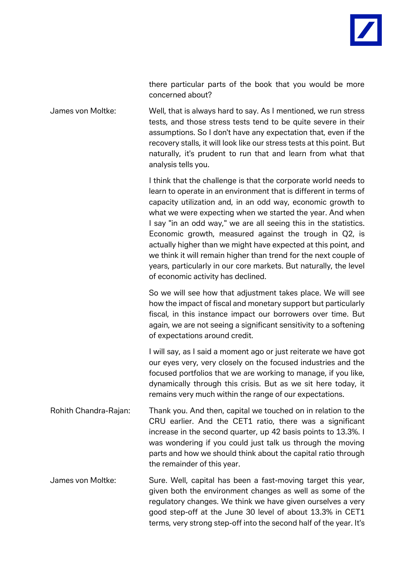

there particular parts of the book that you would be more concerned about?

James von Moltke: Well, that is always hard to say. As I mentioned, we run stress tests, and those stress tests tend to be quite severe in their assumptions. So I don't have any expectation that, even if the recovery stalls, it will look like our stress tests at this point. But naturally, it's prudent to run that and learn from what that analysis tells you.

> I think that the challenge is that the corporate world needs to learn to operate in an environment that is different in terms of capacity utilization and, in an odd way, economic growth to what we were expecting when we started the year. And when I say "in an odd way," we are all seeing this in the statistics. Economic growth, measured against the trough in Q2, is actually higher than we might have expected at this point, and we think it will remain higher than trend for the next couple of years, particularly in our core markets. But naturally, the level of economic activity has declined.

> So we will see how that adjustment takes place. We will see how the impact of fiscal and monetary support but particularly fiscal, in this instance impact our borrowers over time. But again, we are not seeing a significant sensitivity to a softening of expectations around credit.

> I will say, as I said a moment ago or just reiterate we have got our eyes very, very closely on the focused industries and the focused portfolios that we are working to manage, if you like, dynamically through this crisis. But as we sit here today, it remains very much within the range of our expectations.

- Rohith Chandra-Rajan: Thank you. And then, capital we touched on in relation to the CRU earlier. And the CET1 ratio, there was a significant increase in the second quarter, up 42 basis points to 13.3%. I was wondering if you could just talk us through the moving parts and how we should think about the capital ratio through the remainder of this year.
- James von Moltke: Sure. Well, capital has been a fast-moving target this year, given both the environment changes as well as some of the regulatory changes. We think we have given ourselves a very good step-off at the June 30 level of about 13.3% in CET1 terms, very strong step-off into the second half of the year. It's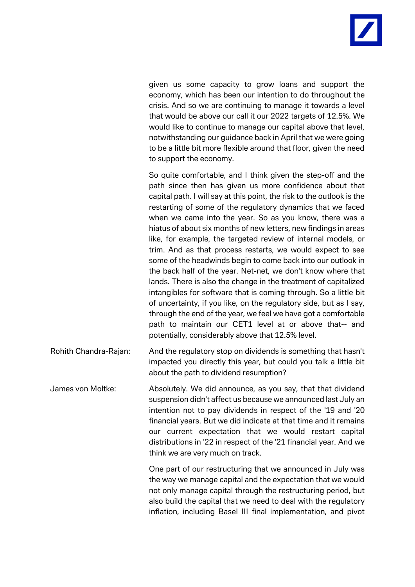given us some capacity to grow loans and support the economy, which has been our intention to do throughout the crisis. And so we are continuing to manage it towards a level that would be above our call it our 2022 targets of 12.5%. We would like to continue to manage our capital above that level, notwithstanding our guidance back in April that we were going to be a little bit more flexible around that floor, given the need to support the economy.

So quite comfortable, and I think given the step-off and the path since then has given us more confidence about that capital path. I will say at this point, the risk to the outlook is the restarting of some of the regulatory dynamics that we faced when we came into the year. So as you know, there was a hiatus of about six months of new letters, new findings in areas like, for example, the targeted review of internal models, or trim. And as that process restarts, we would expect to see some of the headwinds begin to come back into our outlook in the back half of the year. Net-net, we don't know where that lands. There is also the change in the treatment of capitalized intangibles for software that is coming through. So a little bit of uncertainty, if you like, on the regulatory side, but as I say, through the end of the year, we feel we have got a comfortable path to maintain our CET1 level at or above that-- and potentially, considerably above that 12.5% level.

Rohith Chandra-Rajan: And the regulatory stop on dividends is something that hasn't impacted you directly this year, but could you talk a little bit about the path to dividend resumption?

James von Moltke: Absolutely. We did announce, as you say, that that dividend suspension didn't affect us because we announced last July an intention not to pay dividends in respect of the '19 and '20 financial years. But we did indicate at that time and it remains our current expectation that we would restart capital distributions in '22 in respect of the '21 financial year. And we think we are very much on track.

> One part of our restructuring that we announced in July was the way we manage capital and the expectation that we would not only manage capital through the restructuring period, but also build the capital that we need to deal with the regulatory inflation, including Basel III final implementation, and pivot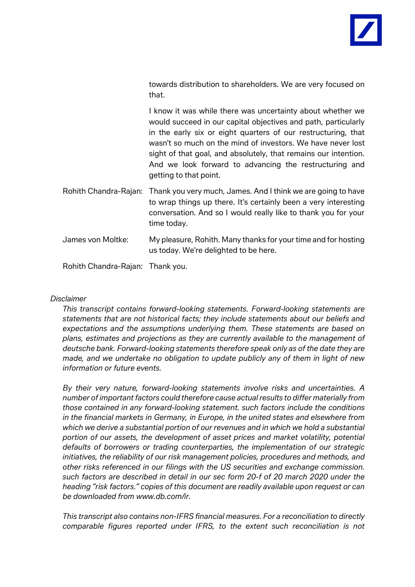

towards distribution to shareholders. We are very focused on that.

I know it was while there was uncertainty about whether we would succeed in our capital objectives and path, particularly in the early six or eight quarters of our restructuring, that wasn't so much on the mind of investors. We have never lost sight of that goal, and absolutely, that remains our intention. And we look forward to advancing the restructuring and getting to that point.

- Rohith Chandra-Rajan: Thank you very much, James. And I think we are going to have to wrap things up there. It's certainly been a very interesting conversation. And so I would really like to thank you for your time today.
- James von Moltke: My pleasure, Rohith. Many thanks for your time and for hosting us today. We're delighted to be here.

Rohith Chandra-Rajan: Thank you.

## *Disclaimer*

*This transcript contains forward-looking statements. Forward-looking statements are statements that are not historical facts; they include statements about our beliefs and expectations and the assumptions underlying them. These statements are based on plans, estimates and projections as they are currently available to the management of deutsche bank. Forward-looking statements therefore speak only as of the date they are made, and we undertake no obligation to update publicly any of them in light of new information or future events.*

*By their very nature, forward-looking statements involve risks and uncertainties. A number of important factors could therefore cause actual results to differ materially from those contained in any forward-looking statement. such factors include the conditions in the financial markets in Germany, in Europe, in the united states and elsewhere from which we derive a substantial portion of our revenues and in which we hold a substantial portion of our assets, the development of asset prices and market volatility, potential defaults of borrowers or trading counterparties, the implementation of our strategic initiatives, the reliability of our risk management policies, procedures and methods, and other risks referenced in our filings with the US securities and exchange commission. such factors are described in detail in our sec form 20-f of 20 march 2020 under the heading "risk factors." copies of this document are readily available upon request or can be downloaded from [www.db.com/ir.](http://www.db.com/ir)*

*This transcript also contains non-IFRS financial measures. For a reconciliation to directly comparable figures reported under IFRS, to the extent such reconciliation is not*